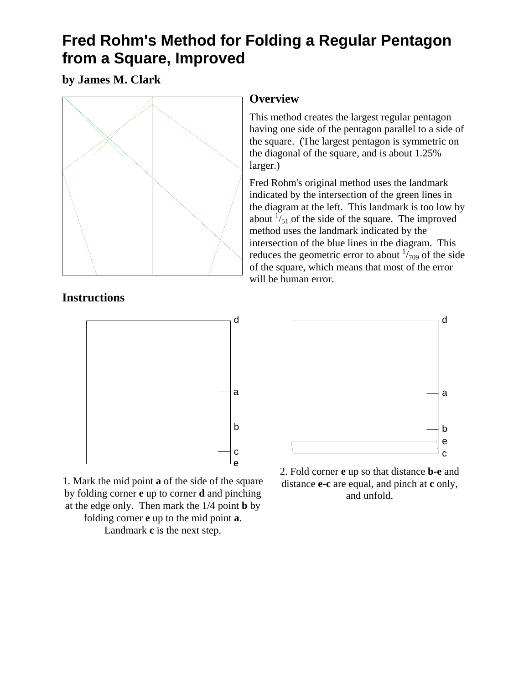## **Fred Rohm's Method for Folding a Regular Pentagon from a Square, Improved**

**by James M. Clark** 



## **Instructions**



1. Mark the mid point **a** of the side of the square by folding corner **e** up to corner **d** and pinching at the edge only. Then mark the 1/4 point **b** by folding corner **e** up to the mid point **a**. Landmark **c** is the next step.

## **Overview**

This method creates the largest regular pentagon having one side of the pentagon parallel to a side of the square. (The largest pentagon is symmetric on the diagonal of the square, and is about 1.25% larger.)

Fred Rohm's original method uses the landmark indicated by the intersection of the green lines in the diagram at the left. This landmark is too low by about  $\frac{1}{51}$  of the side of the square. The improved method uses the landmark indicated by the intersection of the blue lines in the diagram. This reduces the geometric error to about  $\frac{1}{709}$  of the side of the square, which means that most of the error will be human error.



2. Fold corner **e** up so that distance **b-e** and distance **e-c** are equal, and pinch at **c** only, and unfold.